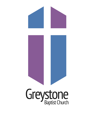# Greystone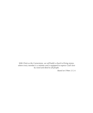With Christ as the Cornerstone, we will build a church of living stones,<br>where every member is a minister and is equipped to express God's love<br>by word and deed to all people.

Based on I Peter 2:5, 6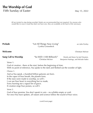# **The Worship of God**  Fifth Sunday of Easter May 15, 2022

*All are invited to sing during worship! Masks are recommended but not required. For anyone who would like to wear a mask but does not have one, they are available at the back of the sanctuary.* 

**Prelude** Things Now Living" **arr.** John Purifoy Cynthia Griesedieck

**Welcome** Christian McIvor

**Sung Call to Worship** "So Will I (100 BillionX)" Words and Music by Joel Houston, Christian McIvor Benjamin Hastings, and Michale Fatkin

Verse 1:

God of creation - there at the start, before the beginning of time; With no point of reference, You spoke to the dark and fleshed out the wonder of light.

Chorus 1:

And as You speak, a hundred billion galaxies are born. In the vapor of Your breath, the planets form. If the stars were made to worship, so will I. I can see Your heart in everything You've made, Every burning star a signal fire of grace. If creation sings Your praises, so will I.

Verse 2:

God of Your promise, You don't speak in vain – no syllable empty or void. For once You have spoken, all nature and science follow the sound of Your voice.

(cont'd next page)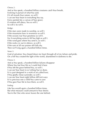Chorus 2:

And as You speak, a hundred billion creatures catch Your breath, Evolving in pursuit of what You said; If it all reveals Your nature, so will I I can see Your heart in everything You say, Every painted sky a canvas of Your grace; If creation still obeys, You so will I; So will I; So will I.

Bridge:

If the stars were made to worship, so will I. If the mountains bow in reverence so will I. If the oceans roar Your greatness so will I. For if everything exists to lift You high so will I. If the wind goes where You send it, so will I. If the rocks cry out in silence, so will I. If the sum of all our praises still falls shy, Then we'll sing again a hundred billion times.

### Verse 3:

God of salvation, You chased down my heart through all of my failure and pride. On a hill You created the light of the world, abandoned in darkness to die.

Chorus 3:

And as You speak, a hundred billion failures disappear Where You lost Your life so I could find it here If You left the grave behind You, so will I. I can see Your heart in ev'rything You've done, Ev'ry part designed in a work of art called love; If You gladly chose surrender, so will I. I can see Your heart eight billion diff'rent ways Ev'ry precious one a child You came to save If You gave Your life to love them, so will I.

Ending:

Like You would again a hundred billion times, But what measure could amount to Your desire; You're the One who never leaves the one behind.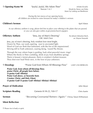**The Opening Hymn 90** "Joyful, Joyful, We Adore Thee" HYMN TO JOY;

Stanzas 1 & 2 Words by Henry van Dyke, Music by Ludwig van Beethoven

 *During the last stanza of our opening hymn, all children are invited to come forward for today's children's sermon.*

### **Children's Sermon April Alston**

*As our offertory anthem is sung, please feel free to place your offering in the plates that are passed, or you can also give online at greystonechurch.org/give.* 

| <b>Offertory Anthem</b>                                                                                                                                                                                                                               | "Jesu, Joy of Man's Desiring"<br><b>GBC Adult Choir</b>                                                                                                                                                                                                                                        | By Johann Sebastian Bach,<br>arr. Wayne Howorth |
|-------------------------------------------------------------------------------------------------------------------------------------------------------------------------------------------------------------------------------------------------------|------------------------------------------------------------------------------------------------------------------------------------------------------------------------------------------------------------------------------------------------------------------------------------------------|-------------------------------------------------|
|                                                                                                                                                                                                                                                       | Jesu, joy of man's desiring, holy wisdom love most bright,<br>Drawn by Thee, our souls aspiring, soar to uncreated light.<br>Word of God our flesh that fashioned, with the fire of life impassioned.<br>Striving still to Truth unknown, soaring dying, 'round Thy throne.                    |                                                 |
|                                                                                                                                                                                                                                                       | Through the way where hope is guiding, hark what peaceful music rings!<br>Where the flocks in Thee confiding, drink of joy from deathless springs.<br>Theirs is beauty's fairest pleasure, theirs is wisdom's holiest treasure.<br>Thou dost ever lead Thine own, in the love of joys unknown. |                                                 |
| † Doxology                                                                                                                                                                                                                                            | "Praise God from Whom All Blessings Flow"                                                                                                                                                                                                                                                      | LASST UNS ERFREUEN                              |
| Praise God, from whom all blessings flow;<br>praise Christ, all people here below;<br>O praise God! Alleluia!<br>Praise God above, ye heavenly host;<br>Creator, Christ, and Holy Ghost.<br>O praise God! O praise God! Alleluia! Alleluia! Alleluia! |                                                                                                                                                                                                                                                                                                |                                                 |
| <b>Prayer of Dedication</b>                                                                                                                                                                                                                           |                                                                                                                                                                                                                                                                                                | John Meyer                                      |
| <b>Scripture Reading</b>                                                                                                                                                                                                                              | Genesis 8:18-22, 9:8-17                                                                                                                                                                                                                                                                        | Chris Austin                                    |
| <b>Sermon</b>                                                                                                                                                                                                                                         | "Becoming Covenantal Partners (Again)" Chrissy Tatum Williamson                                                                                                                                                                                                                                |                                                 |
| <b>Silent Reflection</b>                                                                                                                                                                                                                              |                                                                                                                                                                                                                                                                                                |                                                 |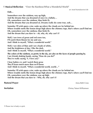### ☦ **Musical Reflection** "Over the Rainbow/What a Wonderful World"

arr. Israel Kamakawiwo'ole

### **Ooh…**

**Somewhere over the rainbow, way up high; And the dreams that you dreamed of once in a lullaby… Oh, somewhere over the rainbow, blue birds fly And the dreams that you dreamed of, Dreams really do come true, ooh…** 

**Someday I'll wish upon a star, wake up where the clouds are far behind me. Where trouble melts like lemon drops high above the chimney tops, that's where you'll find me Oh, somewhere over the rainbow, blue birds fly And the dream that you dare to – oh, why, oh, why can't I?**

**Well, I see trees of green and red roses too, I'll watch them bloom for me and you. And I think to myself, "What a wonderful world."** 

**Well, I see skies of blue and I see clouds of white, And the brightness of day, I like the dark. And I think to myself, "What a wonderful world."** 

**The colors of the rainbow, so pretty in the sky, are also on the faces of people passing by. I see friends shaking hands, saying, "How do you do?" They're really saying, "I, I love you."** 

**I hear babies cry and I watch them grow They'll learn much more than we'll know And I think to myself, "What a wonderful world, world…"** 

**Someday I'll wish upon a star, wake up where the clouds are far behind me. Where trouble melts like lemon drops high above the chimney tops, that's where you'll find me Oh, somewhere over the rainbow, way up high; And the dream that you dare to – Why, oh, why can't I?** 

### **Pastoral Prayer Anna Beth Cross Anna Beth Cross**

**Invitation** Chrissy Tatum Williamson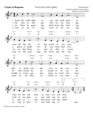